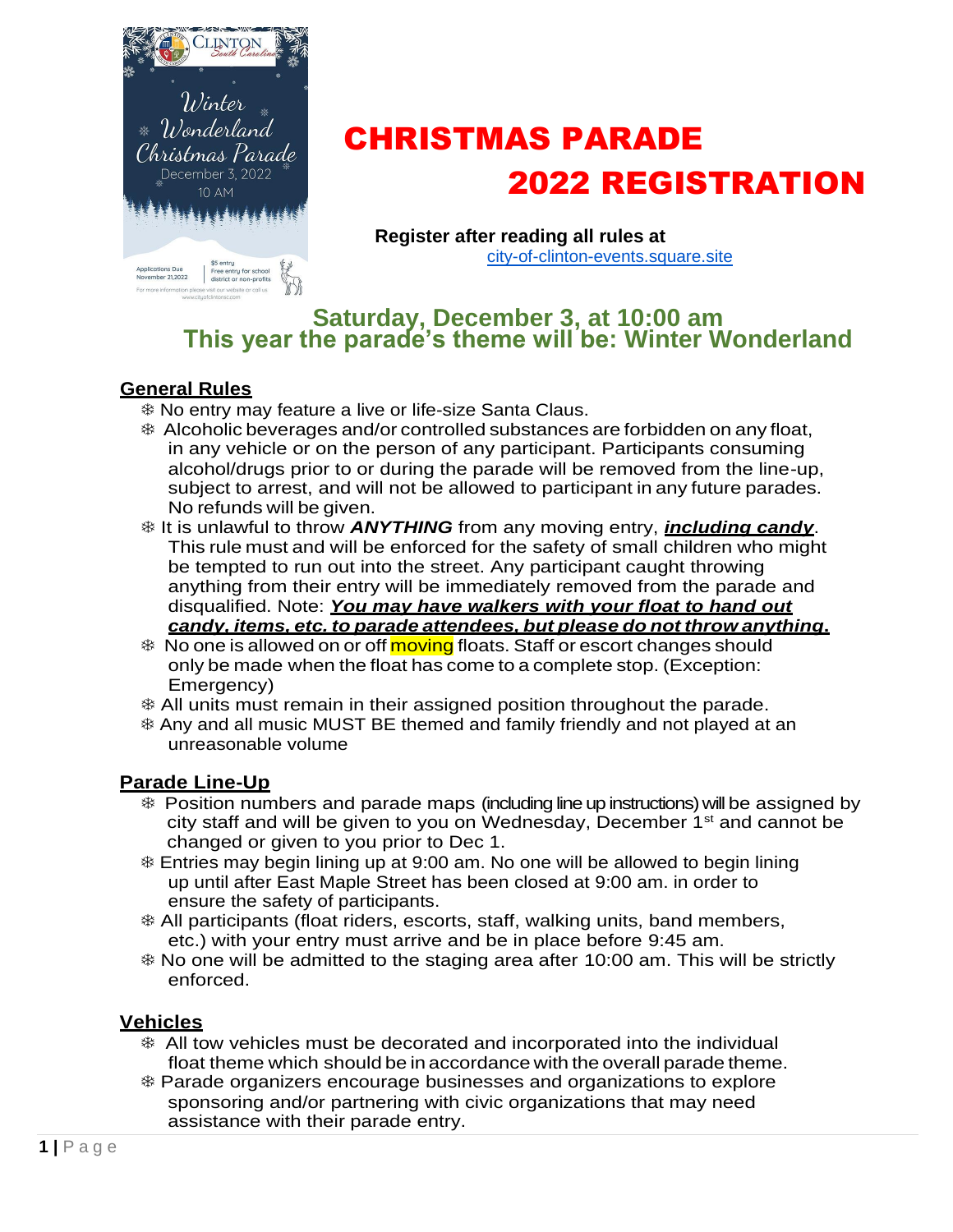

# CHRISTMAS PARADE 2022 REGISTRATION

**Register after reading all rules at** [city-of-clinton-events.square.site](http://city-of-clinton-events.square.site/)

## **Saturday, December 3, at 10:00 am This year the parade's theme will be: Winter Wonderland**

### **General Rules**

- No entry may feature a live or life-size Santa Claus.
- Alcoholic beverages and/or controlled substances are forbidden on any float, in any vehicle or on the person of any participant. Participants consuming alcohol/drugs prior to or during the parade will be removed from the line-up, subject to arrest, and will not be allowed to participant in any future parades. No refunds will be given.
- **Example is unlawful to throw ANYTHING** from any moving entry, *including candy*. This rule must and will be enforced for the safety of small children who might be tempted to run out into the street. Any participant caught throwing anything from their entry will be immediately removed from the parade and disqualified. Note: *You may have walkers with your float to hand out candy, items, etc. to parade attendees, but please do not throw anything***.**
- **EXALUARE:** No one is allowed on or off moving floats. Staff or escort changes should only be made when the float has come to a complete stop. (Exception: Emergency)
- All units must remain in their assigned position throughout the parade.
- Any and all music MUST BE themed and family friendly and not played at an unreasonable volume

#### **Parade Line-Up**

- Position numbers and parade maps (including line up instructions)will be assigned by city staff and will be given to you on Wednesday, December 1<sup>st</sup> and cannot be changed or given to you prior to Dec 1.
- Entries may begin lining up at 9:00 am. No one will be allowed to begin lining up until after East Maple Street has been closed at 9:00 am. in order to ensure the safety of participants.
- All participants (float riders, escorts, staff, walking units, band members, etc.) with your entry must arrive and be in place before 9:45 am.
- No one will be admitted to the staging area after 10:00 am. This will be strictly enforced.

#### **Vehicles**

- All tow vehicles must be decorated and incorporated into the individual float theme which should be in accordance with the overall parade theme.
- Parade organizers encourage businesses and organizations to explore sponsoring and/or partnering with civic organizations that may need assistance with their parade entry.